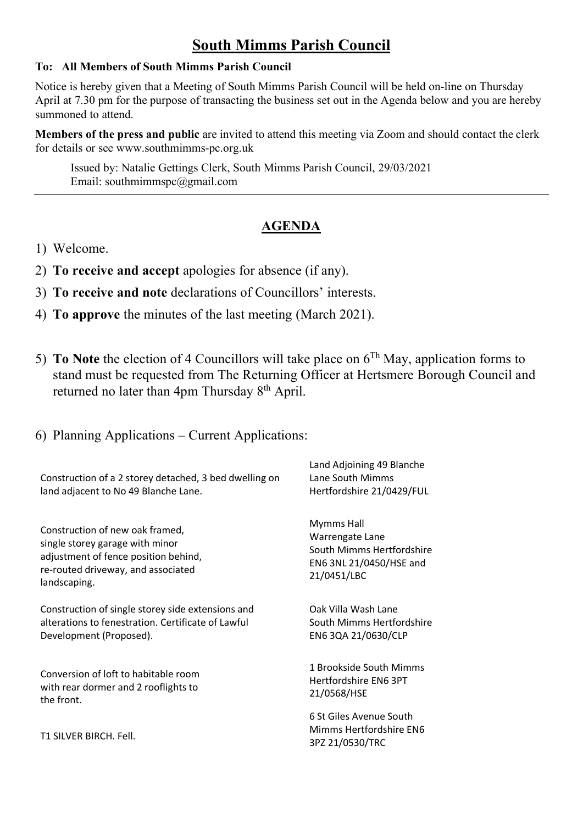## **South Mimms Parish Council**

## **To: All Members of South Mimms Parish Council**

Notice is hereby given that a Meeting of South Mimms Parish Council will be held on-line on Thursday April at 7.30 pm for the purpose of transacting the business set out in the Agenda below and you are hereby summoned to attend.

**Members of the press and public** are invited to attend this meeting via Zoom and should contact the clerk for details or see [www.southmimms-pc.org.uk](http://www.southmimms-pc.org.uk/)

Issued by: Natalie Gettings Clerk, South Mimms Parish Council, 29/03/2021 Email: southmimmspc@gmail.com

## **AGENDA**

- 1) Welcome.
- 2) **To receive and accept** apologies for absence (if any).
- 3) **To receive and note** declarations of Councillors' interests.
- 4) **To approve** the minutes of the last meeting (March 2021).
- 5) **To Note** the election of 4 Councillors will take place on 6Th May, application forms to stand must be requested from The Returning Officer at Hertsmere Borough Council and returned no later than 4pm Thursday 8<sup>th</sup> April.
- 6) Planning Applications Current Applications:

| Construction of a 2 storey detached, 3 bed dwelling on<br>land adjacent to No 49 Blanche Lane. | Land Adjoining 49 Blanche<br>Lane South Mimms<br>Hertfordshire 21/0429/FUL |
|------------------------------------------------------------------------------------------------|----------------------------------------------------------------------------|
| Construction of new oak framed,                                                                | <b>Mymms Hall</b>                                                          |
| single storey garage with minor                                                                | Warrengate Lane                                                            |
| adjustment of fence position behind,                                                           | South Mimms Hertfordshire                                                  |
| re-routed driveway, and associated                                                             | EN6 3NL 21/0450/HSE and                                                    |
| landscaping.                                                                                   | 21/0451/LBC                                                                |
| Construction of single storey side extensions and                                              | Oak Villa Wash Lane                                                        |
| alterations to fenestration. Certificate of Lawful                                             | South Mimms Hertfordshire                                                  |
| Development (Proposed).                                                                        | EN6 3QA 21/0630/CLP                                                        |
| Conversion of loft to habitable room                                                           | 1 Brookside South Mimms                                                    |
| with rear dormer and 2 rooflights to                                                           | Hertfordshire EN6 3PT                                                      |
| the front.                                                                                     | 21/0568/HSE                                                                |
| T1 SILVER BIRCH, Fell.                                                                         | 6 St Giles Avenue South<br>Mimms Hertfordshire EN6<br>3PZ 21/0530/TRC      |